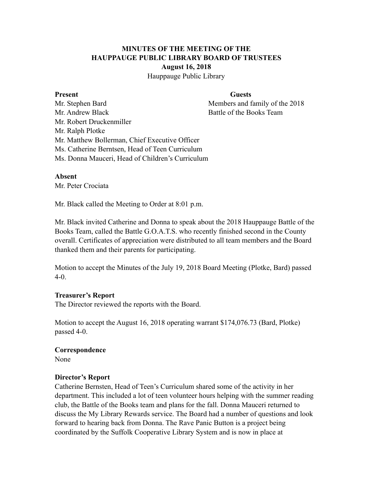# **MINUTES OF THE MEETING OF THE HAUPPAUGE PUBLIC LIBRARY BOARD OF TRUSTEES August 16, 2018**

Hauppauge Public Library

#### **Present** Guests

Mr. Stephen Bard Members and family of the 2018 Mr. Andrew Black Battle of the Books Team Mr. Robert Druckenmiller Mr. Ralph Plotke Mr. Matthew Bollerman, Chief Executive Officer Ms. Catherine Berntsen, Head of Teen Curriculum Ms. Donna Mauceri, Head of Children's Curriculum

### **Absent**

Mr. Peter Crociata

Mr. Black called the Meeting to Order at 8:01 p.m.

Mr. Black invited Catherine and Donna to speak about the 2018 Hauppauge Battle of the Books Team, called the Battle G.O.A.T.S. who recently finished second in the County overall. Certificates of appreciation were distributed to all team members and the Board thanked them and their parents for participating.

Motion to accept the Minutes of the July 19, 2018 Board Meeting (Plotke, Bard) passed 4-0.

### **Treasurer's Report**

The Director reviewed the reports with the Board.

Motion to accept the August 16, 2018 operating warrant \$174,076.73 (Bard, Plotke) passed 4-0.

### **Correspondence**

None

### **Director's Report**

Catherine Bernsten, Head of Teen's Curriculum shared some of the activity in her department. This included a lot of teen volunteer hours helping with the summer reading club, the Battle of the Books team and plans for the fall. Donna Mauceri returned to discuss the My Library Rewards service. The Board had a number of questions and look forward to hearing back from Donna. The Rave Panic Button is a project being coordinated by the Suffolk Cooperative Library System and is now in place at